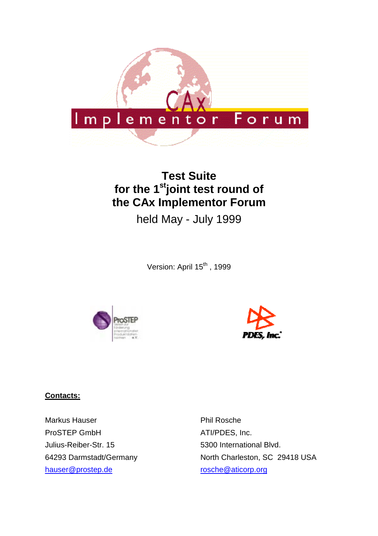

# **Test Suite** for the 1<sup>st</sup>joint test round of **the CAx Implementor Forum**

held May - July 1999

Version: April 15<sup>th</sup>, 1999





#### **Contacts:**

Markus Hauser ProSTEP GmbH Julius-Reiber-Str. 15 64293 Darmstadt/Germany hauser@prostep.de

Phil Rosche ATI/PDES, Inc. 5300 International Blvd. North Charleston, SC 29418 USA rosche@aticorp.org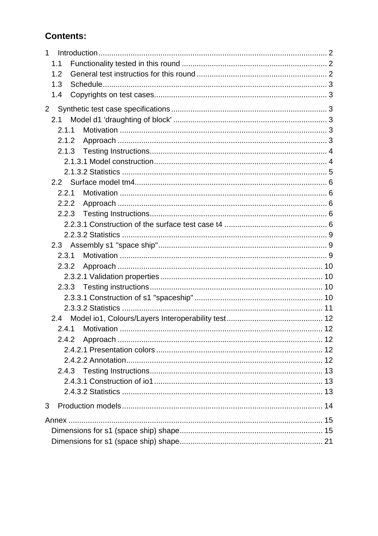## **Contents:**

| $\mathbf{1}$ |  |
|--------------|--|
| 1.1          |  |
| 1.2          |  |
| 1.3          |  |
| 1.4          |  |
| $2^{\circ}$  |  |
| 2.1          |  |
| 2.1.1        |  |
| 2.1.2        |  |
| 2.1.3        |  |
|              |  |
|              |  |
|              |  |
| 2.2.1        |  |
| 2.2.2        |  |
| 2.2.3        |  |
|              |  |
|              |  |
|              |  |
| 2.3.1        |  |
| 2.3.2        |  |
|              |  |
|              |  |
|              |  |
|              |  |
|              |  |
| 2.4.1        |  |
| 2.4.2        |  |
|              |  |
|              |  |
|              |  |
|              |  |
|              |  |
| 3            |  |
|              |  |
|              |  |
|              |  |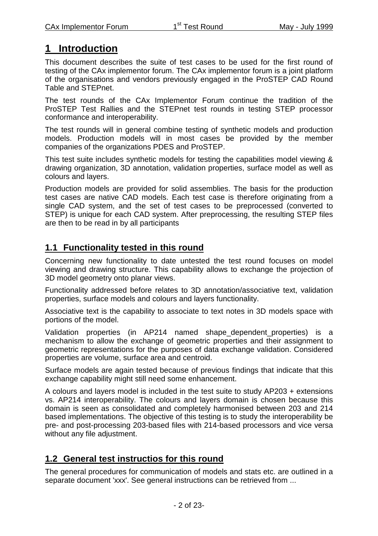## **1 Introduction**

This document describes the suite of test cases to be used for the first round of testing of the CAx implementor forum. The CAx implementor forum is a joint platform of the organisations and vendors previously engaged in the ProSTEP CAD Round Table and STEPnet.

The test rounds of the CAx Implementor Forum continue the tradition of the ProSTEP Test Rallies and the STEPnet test rounds in testing STEP processor conformance and interoperability.

The test rounds will in general combine testing of synthetic models and production models. Production models will in most cases be provided by the member companies of the organizations PDES and ProSTEP.

This test suite includes synthetic models for testing the capabilities model viewing & drawing organization, 3D annotation, validation properties, surface model as well as colours and layers.

Production models are provided for solid assemblies. The basis for the production test cases are native CAD models. Each test case is therefore originating from a single CAD system, and the set of test cases to be preprocessed (converted to STEP) is unique for each CAD system. After preprocessing, the resulting STEP files are then to be read in by all participants

## **1.1 Functionality tested in this round**

Concerning new functionality to date untested the test round focuses on model viewing and drawing structure. This capability allows to exchange the projection of 3D model geometry onto planar views.

Functionality addressed before relates to 3D annotation/associative text, validation properties, surface models and colours and layers functionality.

Associative text is the capability to associate to text notes in 3D models space with portions of the model.

Validation properties (in AP214 named shape\_dependent\_properties) is a mechanism to allow the exchange of geometric properties and their assignment to geometric representations for the purposes of data exchange validation. Considered properties are volume, surface area and centroid.

Surface models are again tested because of previous findings that indicate that this exchange capability might still need some enhancement.

A colours and layers model is included in the test suite to study AP203 + extensions vs. AP214 interoperability. The colours and layers domain is chosen because this domain is seen as consolidated and completely harmonised between 203 and 214 based implementations. The objective of this testing is to study the interoperability be pre- and post-processing 203-based files with 214-based processors and vice versa without any file adjustment.

### **1.2 General test instructios for this round**

The general procedures for communication of models and stats etc. are outlined in a separate document 'xxx'. See general instructions can be retrieved from ...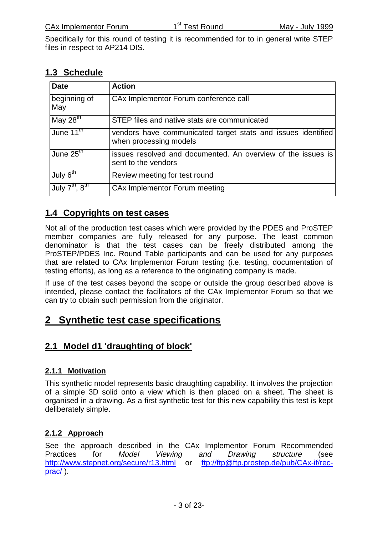Specifically for this round of testing it is recommended for to in general write STEP files in respect to AP214 DIS.

### **1.3 Schedule**

| <b>Date</b>                            | <b>Action</b>                                                                          |
|----------------------------------------|----------------------------------------------------------------------------------------|
| beginning of<br>May                    | CAx Implementor Forum conference call                                                  |
| May $28th$                             | STEP files and native stats are communicated                                           |
| June $11^{\text{th}}$                  | vendors have communicated target stats and issues identified<br>when processing models |
| June $25th$                            | issues resolved and documented. An overview of the issues is<br>sent to the vendors    |
| July $6^{\text{th}}$                   | Review meeting for test round                                                          |
| July $7^{\text{th}}$ , $8^{\text{th}}$ | CAx Implementor Forum meeting                                                          |

### **1.4 Copyrights on test cases**

Not all of the production test cases which were provided by the PDES and ProSTEP member companies are fully released for any purpose. The least common denominator is that the test cases can be freely distributed among the ProSTEP/PDES Inc. Round Table participants and can be used for any purposes that are related to CAx Implementor Forum testing (i.e. testing, documentation of testing efforts), as long as a reference to the originating company is made.

If use of the test cases beyond the scope or outside the group described above is intended, please contact the facilitators of the CAx Implementor Forum so that we can try to obtain such permission from the originator.

## **2 Synthetic test case specifications**

### **2.1 Model d1 'draughting of block'**

#### **2.1.1 Motivation**

This synthetic model represents basic draughting capability. It involves the projection of a simple 3D solid onto a view which is then placed on a sheet. The sheet is organised in a drawing. As a first synthetic test for this new capability this test is kept deliberately simple.

#### **2.1.2 Approach**

See the approach described in the CAx Implementor Forum Recommended Practices for Model Viewing and Drawing structure (see http://www.stepnet.org/secure/r13.html or ftp://ftp@ftp.prostep.de/pub/CAx-if/recprac/ ).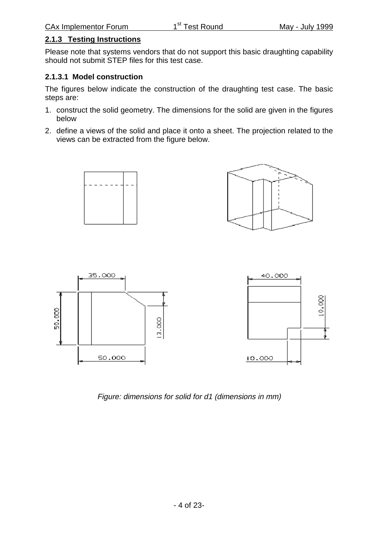#### **2.1.3 Testing Instructions**

Please note that systems vendors that do not support this basic draughting capability should not submit STEP files for this test case.

#### **2.1.3.1 Model construction**

The figures below indicate the construction of the draughting test case. The basic steps are:

- 1. construct the solid geometry. The dimensions for the solid are given in the figures below
- 2. define a views of the solid and place it onto a sheet. The projection related to the views can be extracted from the figure below.





Figure: dimensions for solid for d1 (dimensions in mm)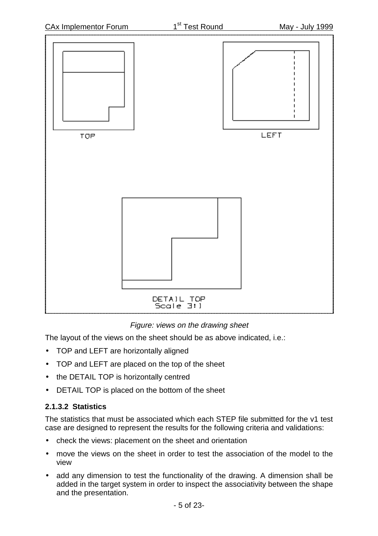

Figure: views on the drawing sheet

The layout of the views on the sheet should be as above indicated, i.e.:

- TOP and LEFT are horizontally aligned
- TOP and LEFT are placed on the top of the sheet
- the DETAIL TOP is horizontally centred
- DETAIL TOP is placed on the bottom of the sheet

#### **2.1.3.2 Statistics**

The statistics that must be associated which each STEP file submitted for the v1 test case are designed to represent the results for the following criteria and validations:

- check the views: placement on the sheet and orientation
- move the views on the sheet in order to test the association of the model to the view
- add any dimension to test the functionality of the drawing. A dimension shall be added in the target system in order to inspect the associativity between the shape and the presentation.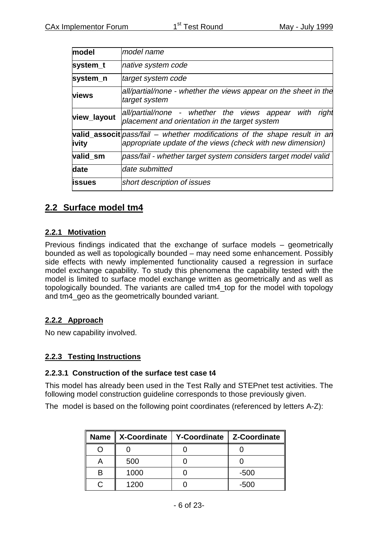| model          | model name                                                                                                                                       |
|----------------|--------------------------------------------------------------------------------------------------------------------------------------------------|
| system_t       | native system code                                                                                                                               |
| system_n       | target system code                                                                                                                               |
| <b>views</b>   | all/partial/none - whether the views appear on the sheet in the<br>target system                                                                 |
| view_layout    | all/partial/none - whether the views appear with<br>right<br>placement and orientation in the target system                                      |
| <b>j</b> vity  | <b>valid_associt</b> $pass/fail$ – whether modifications of the shape result in an<br>appropriate update of the views (check with new dimension) |
| valid_sm       | pass/fail - whether target system considers target model valid                                                                                   |
| date           | date submitted                                                                                                                                   |
| <b>lissues</b> | short description of issues                                                                                                                      |

### **2.2 Surface model tm4**

#### **2.2.1 Motivation**

Previous findings indicated that the exchange of surface models – geometrically bounded as well as topologically bounded – may need some enhancement. Possibly side effects with newly implemented functionality caused a regression in surface model exchange capability. To study this phenomena the capability tested with the model is limited to surface model exchange written as geometrically and as well as topologically bounded. The variants are called tm4\_top for the model with topology and tm4 geo as the geometrically bounded variant.

#### **2.2.2 Approach**

No new capability involved.

#### **2.2.3 Testing Instructions**

#### **2.2.3.1 Construction of the surface test case t4**

This model has already been used in the Test Rally and STEPnet test activities. The following model construction guideline corresponds to those previously given.

The model is based on the following point coordinates (referenced by letters A-Z):

|   | Name    X-Coordinate   Y-Coordinate   Z-Coordinate |        |
|---|----------------------------------------------------|--------|
|   |                                                    |        |
|   | 500                                                |        |
| B | 1000                                               | $-500$ |
|   | 1200                                               | -500   |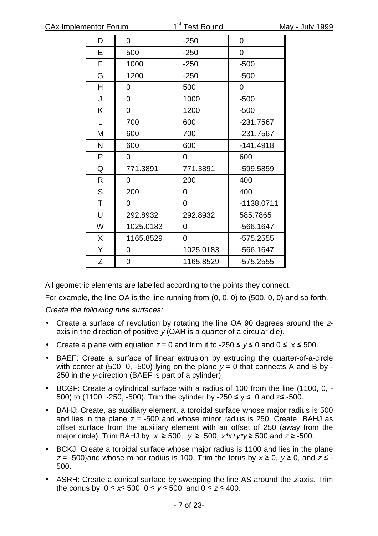| D | 0         | $-250$    | 0            |
|---|-----------|-----------|--------------|
| E | 500       | $-250$    | 0            |
| F | 1000      | $-250$    | $-500$       |
| G | 1200      | $-250$    | $-500$       |
| H | 0         | 500       | 0            |
| J | 0         | 1000      | $-500$       |
| Κ | 0         | 1200      | $-500$       |
| L | 700       | 600       | $-231.7567$  |
| M | 600       | 700       | $-231.7567$  |
| N | 600       | 600       | $-141.4918$  |
| P | 0         | 0         | 600          |
| Q | 771.3891  | 771.3891  | -599.5859    |
| R | 0         | 200       | 400          |
| S | 200       | 0         | 400          |
| T | 0         | 0         | $-1138.0711$ |
| U | 292.8932  | 292.8932  | 585.7865     |
| W | 1025.0183 | 0         | -566.1647    |
| X | 1165.8529 | 0         | $-575.2555$  |
| Υ | 0         | 1025.0183 | -566.1647    |
| Z | 0         | 1165.8529 | $-575.2555$  |

All geometric elements are labelled according to the points they connect.

For example, the line OA is the line running from (0, 0, 0) to (500, 0, 0) and so forth.

Create the following nine surfaces:

- Create a surface of revolution by rotating the line OA 90 degrees around the zaxis in the direction of positive  $\gamma$  (OAH is a quarter of a circular die).
- Create a plane with equation  $z = 0$  and trim it to -250  $\leq y \leq 0$  and  $0 \leq x \leq 500$ .
- BAEF: Create a surface of linear extrusion by extruding the quarter-of-a-circle with center at (500, 0, -500) lying on the plane  $v = 0$  that connects A and B by -250 in the y-direction (BAEF is part of a cylinder)
- BCGF: Create a cylindrical surface with a radius of 100 from the line (1100, 0, 500) to (1100, -250, -500). Trim the cylinder by -250  $\le y \le 0$  and  $z \le -500$ .
- BAHJ: Create, as auxiliary element, a toroidal surface whose major radius is 500 and lies in the plane  $z = -500$  and whose minor radius is 250. Create BAHJ as offset surface from the auxiliary element with an offset of 250 (away from the major circle). Trim BAHJ by  $x \ge 500$ ,  $y \ge 500$ ,  $x^*x+y^*y \ge 500$  and  $z \ge -500$ .
- BCKJ: Create a toroidal surface whose major radius is 1100 and lies in the plane  $z = -500$ } and whose minor radius is 100. Trim the torus by  $x \ge 0$ ,  $y \ge 0$ , and  $z \le -1$ 500.
- ASRH: Create a conical surface by sweeping the line AS around the <sup>z</sup>-axis. Trim the conus by  $0 \le x \le 500$ ,  $0 \le y \le 500$ , and  $0 \le z \le 400$ .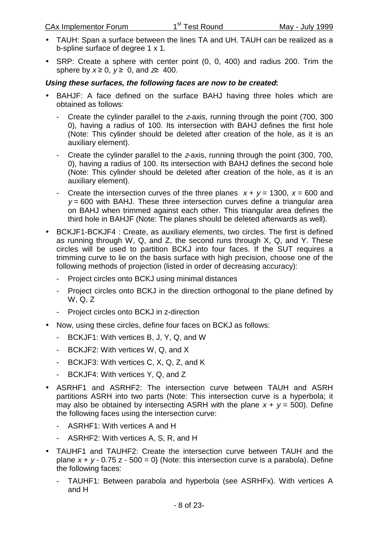- TAUH: Span a surface between the lines TA and UH. TAUH can be realized as a b-spline surface of degree 1 x 1.
- SRP: Create a sphere with center point (0, 0, 400) and radius 200. Trim the sphere by  $x \ge 0$ ,  $y \ge 0$ , and  $z \ge 400$ .

#### **Using these surfaces, the following faces are now to be created:**

- BAHJF: A face defined on the surface BAHJ having three holes which are obtained as follows:
	- Create the cylinder parallel to the <sup>z</sup>-axis, running through the point (700, 300 0), having a radius of 100. Its intersection with BAHJ defines the first hole (Note: This cylinder should be deleted after creation of the hole, as it is an auxiliary element).
	- Create the cylinder parallel to the <sup>z</sup>-axis, running through the point (300, 700, 0), having a radius of 100. Its intersection with BAHJ defines the second hole (Note: This cylinder should be deleted after creation of the hole, as it is an auxiliary element).
	- Create the intersection curves of the three planes  $x + y = 1300$ ,  $x = 600$  and  $v = 600$  with BAHJ. These three intersection curves define a triangular area on BAHJ when trimmed against each other. This triangular area defines the third hole in BAHJF (Note: The planes should be deleted afterwards as well).
- BCKJF1-BCKJF4 : Create, as auxiliary elements, two circles. The first is defined as running through W, Q, and Z, the second runs through X, Q, and Y. These circles will be used to partition BCKJ into four faces. If the SUT requires a trimming curve to lie on the basis surface with high precision, choose one of the following methods of projection (listed in order of decreasing accuracy):
	- Project circles onto BCKJ using minimal distances
	- Project circles onto BCKJ in the direction orthogonal to the plane defined by W, Q, Z
	- Project circles onto BCKJ in z-direction
- Now, using these circles, define four faces on BCKJ as follows:
	- BCKJF1: With vertices B, J, Y, Q, and W
	- BCKJF2: With vertices W, Q, and X
	- BCKJF3: With vertices C, X, Q, Z, and K
	- BCKJF4: With vertices Y, Q, and Z
- ASRHF1 and ASRHF2: The intersection curve between TAUH and ASRH partitions ASRH into two parts (Note: This intersection curve is a hyperbola; it may also be obtained by intersecting ASRH with the plane  $x + y = 500$ ). Define the following faces using the intersection curve:
	- ASRHF1: With vertices A and H
	- ASRHF2: With vertices A, S, R, and H
- TAUHF1 and TAUHF2: Create the intersection curve between TAUH and the plane  $x + y - 0.75 z - 500 = 0$  (Note: this intersection curve is a parabola). Define the following faces:
	- TAUHF1: Between parabola and hyperbola (see ASRHFx). With vertices A and H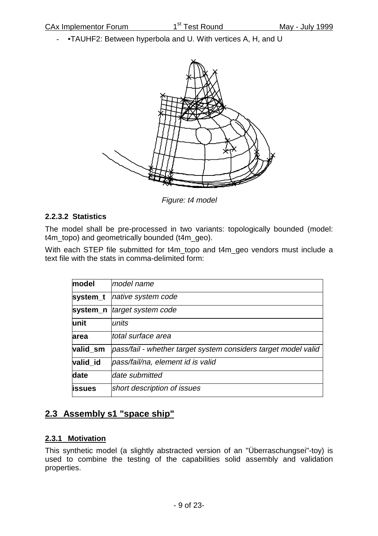- •TAUHF2: Between hyperbola and U. With vertices A, H, and U



Figure: t4 model

#### **2.2.3.2 Statistics**

The model shall be pre-processed in two variants: topologically bounded (model: t4m\_topo) and geometrically bounded (t4m\_geo).

With each STEP file submitted for t4m\_topo and t4m\_geo vendors must include a text file with the stats in comma-delimited form:

| model          | lmodel name                                                    |
|----------------|----------------------------------------------------------------|
| system_t       | native system code                                             |
|                | system_n   target system code                                  |
| unit           | lunits                                                         |
| larea          | ltotal surface area                                            |
| valid_sm       | pass/fail - whether target system considers target model valid |
| valid id       | pass/fail/na, element id is valid                              |
| date           | ldate submitted                                                |
| <b>lissues</b> | short description of issues                                    |

## **2.3 Assembly s1 "space ship"**

#### **2.3.1 Motivation**

This synthetic model (a slightly abstracted version of an "Überraschungsei"-toy) is used to combine the testing of the capabilities solid assembly and validation properties.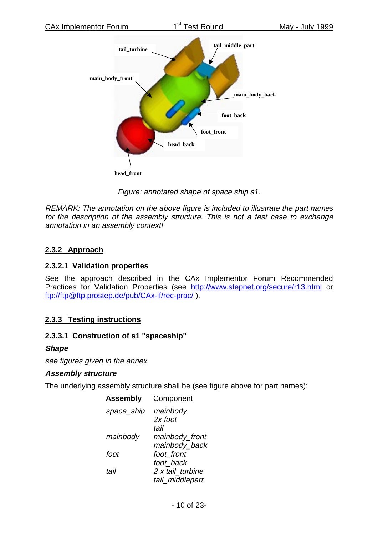

Figure: annotated shape of space ship s1.

REMARK: The annotation on the above figure is included to illustrate the part names for the description of the assembly structure. This is not <sup>a</sup> test case to exchange annotation in an assembly context!

#### **2.3.2 Approach**

#### **2.3.2.1 Validation properties**

See the approach described in the CAx Implementor Forum Recommended Practices for Validation Properties (see http://www.stepnet.org/secure/r13.html or ftp://ftp@ftp.prostep.de/pub/CAx-if/rec-prac/ ).

#### **2.3.3 Testing instructions**

#### **2.3.3.1 Construction of s1 "spaceship"**

#### **Shape**

see figures given in the annex

#### **Assembly structure**

The underlying assembly structure shall be (see figure above for part names):

**Assembly** Component

| space_ship | mainbody         |
|------------|------------------|
|            | 2x foot          |
|            | tail             |
| mainbody   | mainbody_front   |
|            | mainbody_back    |
| foot       | foot front       |
|            | foot back        |
| tail       | 2 x tail turbine |
|            | tail_middlepart  |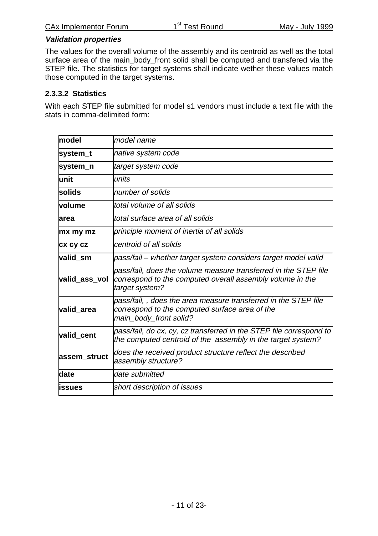#### **Validation properties**

The values for the overall volume of the assembly and its centroid as well as the total surface area of the main\_body\_front solid shall be computed and transfered via the STEP file. The statistics for target systems shall indicate wether these values match those computed in the target systems.

#### **2.3.3.2 Statistics**

With each STEP file submitted for model s1 vendors must include a text file with the stats in comma-delimited form:

| model           | model name                                                                                                                                     |
|-----------------|------------------------------------------------------------------------------------------------------------------------------------------------|
| system_t        | native system code                                                                                                                             |
| system_n        | target system code                                                                                                                             |
| lunit           | units                                                                                                                                          |
| solids          | number of solids                                                                                                                               |
| volume          | total volume of all solids                                                                                                                     |
| larea           | ltotal surface area of all solids                                                                                                              |
| mx my mz        | principle moment of inertia of all solids                                                                                                      |
| <b>CX CY CZ</b> | centroid of all solids                                                                                                                         |
| valid sm        | pass/fail – whether target system considers target model valid                                                                                 |
| valid ass vol   | pass/fail, does the volume measure transferred in the STEP file<br>correspond to the computed overall assembly volume in the<br>target system? |
| valid area      | pass/fail,, does the area measure transferred in the STEP file<br>correspond to the computed surface area of the<br>main_body_front solid?     |
| valid_cent      | pass/fail, do cx, cy, cz transferred in the STEP file correspond to<br>the computed centroid of the assembly in the target system?             |
| assem_struct    | does the received product structure reflect the described<br>assembly structure?                                                               |
| date            | date submitted                                                                                                                                 |
| <b>lissues</b>  | short description of issues                                                                                                                    |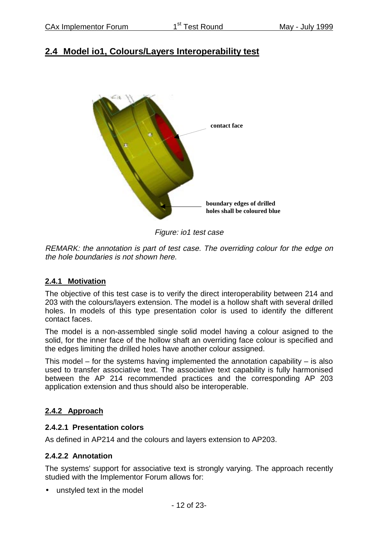### **2.4 Model io1, Colours/Layers Interoperability test**



Figure: io1 test case

REMARK: the annotation is part of test case. The overriding colour for the edge on the hole boundaries is not shown here.

#### **2.4.1 Motivation**

The objective of this test case is to verify the direct interoperability between 214 and 203 with the colours/layers extension. The model is a hollow shaft with several drilled holes. In models of this type presentation color is used to identify the different contact faces.

The model is a non-assembled single solid model having a colour asigned to the solid, for the inner face of the hollow shaft an overriding face colour is specified and the edges limiting the drilled holes have another colour assigned.

This model – for the systems having implemented the annotation capability – is also used to transfer associative text. The associative text capability is fully harmonised between the AP 214 recommended practices and the corresponding AP 203 application extension and thus should also be interoperable.

#### **2.4.2 Approach**

#### **2.4.2.1 Presentation colors**

As defined in AP214 and the colours and layers extension to AP203.

#### **2.4.2.2 Annotation**

The systems' support for associative text is strongly varying. The approach recently studied with the Implementor Forum allows for:

• unstyled text in the model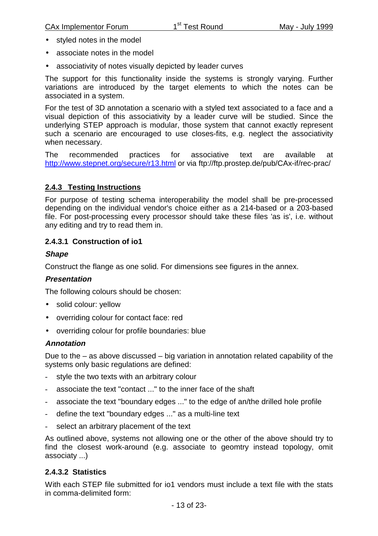- styled notes in the model
- associate notes in the model
- associativity of notes visually depicted by leader curves

The support for this functionality inside the systems is strongly varying. Further variations are introduced by the target elements to which the notes can be associated in a system.

For the test of 3D annotation a scenario with a styled text associated to a face and a visual depiction of this associativity by a leader curve will be studied. Since the underlying STEP approach is modular, those system that cannot exactly represent such a scenario are encouraged to use closes-fits, e.g. neglect the associativity when necessary.

The recommended practices for associative text are available at http://www.stepnet.org/secure/r13.html or via ftp://ftp.prostep.de/pub/CAx-if/rec-prac/

#### **2.4.3 Testing Instructions**

For purpose of testing schema interoperability the model shall be pre-processed depending on the individual vendor's choice either as a 214-based or a 203-based file. For post-processing every processor should take these files 'as is', i.e. without any editing and try to read them in.

#### **2.4.3.1 Construction of io1**

#### **Shape**

Construct the flange as one solid. For dimensions see figures in the annex.

#### **Presentation**

The following colours should be chosen:

- solid colour: yellow
- overriding colour for contact face: red
- overriding colour for profile boundaries: blue

#### **Annotation**

Due to the – as above discussed – big variation in annotation related capability of the systems only basic regulations are defined:

- style the two texts with an arbitrary colour
- associate the text "contact ..." to the inner face of the shaft
- associate the text "boundary edges ..." to the edge of an/the drilled hole profile
- define the text "boundary edges ..." as a multi-line text
- select an arbitrary placement of the text

As outlined above, systems not allowing one or the other of the above should try to find the closest work-around (e.g. associate to geomtry instead topology, omit associaty ...)

#### **2.4.3.2 Statistics**

With each STEP file submitted for io1 vendors must include a text file with the stats in comma-delimited form: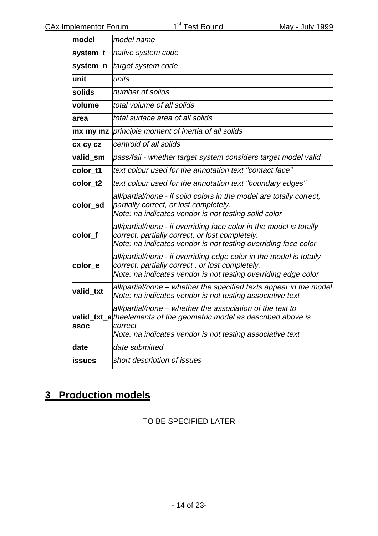| model         | model name                                                                                                                                                                                                 |
|---------------|------------------------------------------------------------------------------------------------------------------------------------------------------------------------------------------------------------|
| system_t      | native system code                                                                                                                                                                                         |
| system_n      | target system code                                                                                                                                                                                         |
| unit          | units                                                                                                                                                                                                      |
| solids        | number of solids                                                                                                                                                                                           |
| volume        | total volume of all solids                                                                                                                                                                                 |
| area          | total surface area of all solids                                                                                                                                                                           |
| mx my mz      | principle moment of inertia of all solids                                                                                                                                                                  |
| cx cy cz      | centroid of all solids                                                                                                                                                                                     |
| valid sm      | pass/fail - whether target system considers target model valid                                                                                                                                             |
| color_t1      | text colour used for the annotation text "contact face"                                                                                                                                                    |
| color_t2      | text colour used for the annotation text "boundary edges"                                                                                                                                                  |
| color sd      | all/partial/none - if solid colors in the model are totally correct,<br>partially correct, or lost completely.<br>Note: na indicates vendor is not testing solid color                                     |
| color_f       | all/partial/none - if overriding face color in the model is totally<br>correct, partially correct, or lost completely.<br>Note: na indicates vendor is not testing overriding face color                   |
| color_e       | all/partial/none - if overriding edge color in the model is totally<br>correct, partially correct, or lost completely.<br>Note: na indicates vendor is not testing overriding edge color                   |
| valid txt     | all/partial/none – whether the specified texts appear in the model<br>Note: na indicates vendor is not testing associative text                                                                            |
| <b>SSOC</b>   | all/partial/none - whether the association of the text to<br>valid_txt_a the elements of the geometric model as described above is<br>correct<br>Note: na indicates vendor is not testing associative text |
| date          | date submitted                                                                                                                                                                                             |
| <b>issues</b> | short description of issues                                                                                                                                                                                |

## **3 Production models**

TO BE SPECIFIED LATER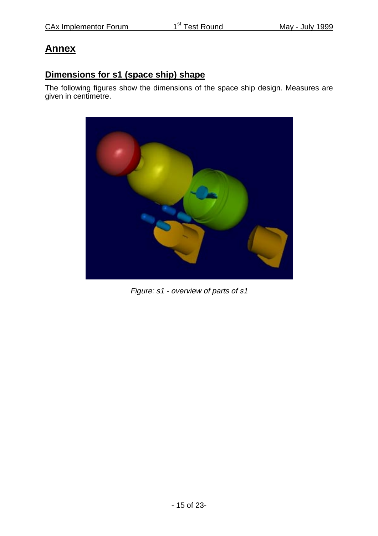## **Annex**

## **Dimensions for s1 (space ship) shape**

The following figures show the dimensions of the space ship design. Measures are given in centimetre.



Figure: s1 - overview of parts of s1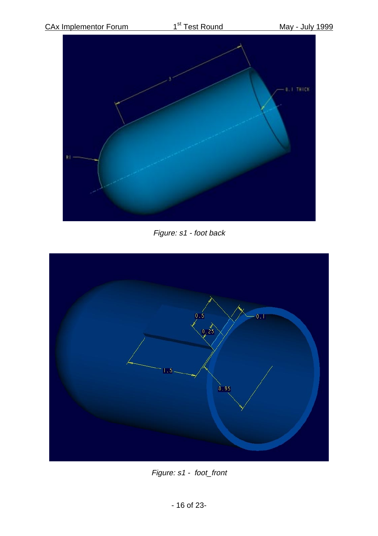

Figure: s1 - foot back



Figure: s1 - foot\_front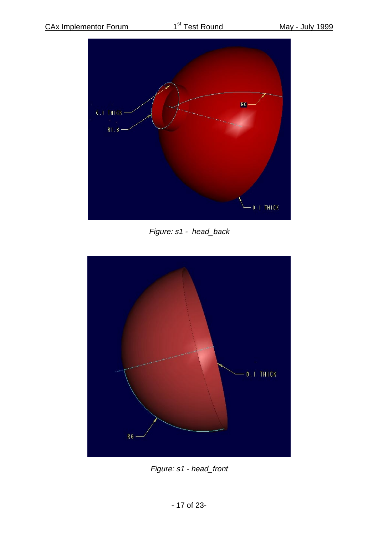

Figure: s1 - head\_back



Figure: s1 - head\_front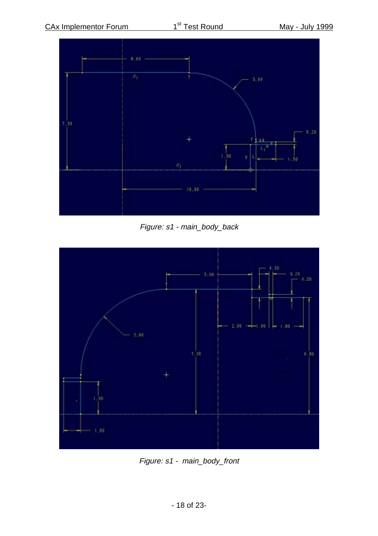

Figure: s1 - main\_body\_back



Figure: s1 - main\_body\_front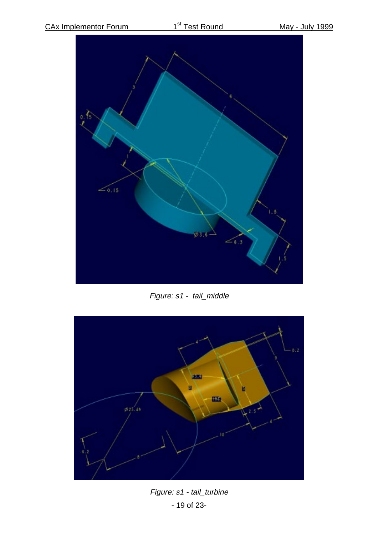

Figure: s1 - tail\_middle



- 19 of 23- Figure: s1 - tail\_turbine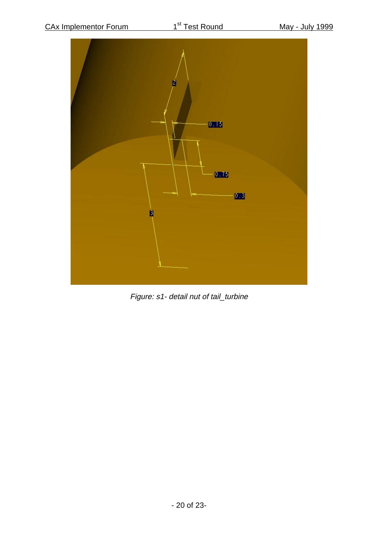

Figure: s1- detail nut of tail\_turbine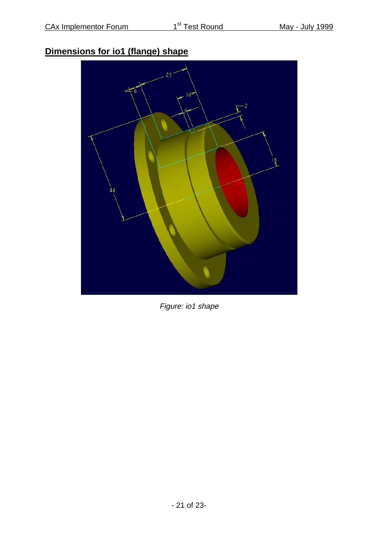## **Dimensions for io1 (flange) shape**



Figure: io1 shape